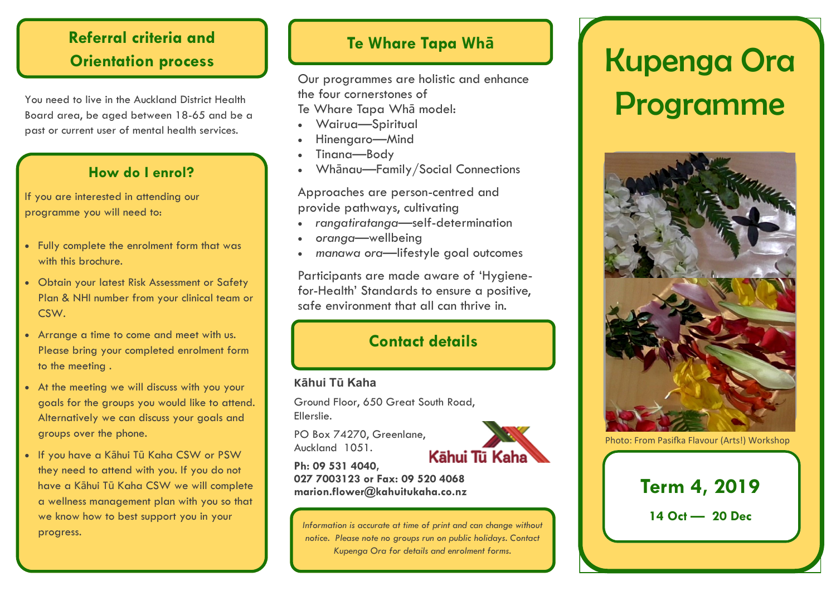## **Referral criteria and Orientation process**

You need to live in the Auckland District Health Board area, be aged between 18-65 and be a past or current user of mental health services.

### **How do I enrol?**

If you are interested in attending our programme you will need to:

- Fully complete the enrolment form that was with this brochure.
- Obtain your latest Risk Assessment or Safety Plan & NHI number from your clinical team or CSW.
- Arrange a time to come and meet with us. Please bring your completed enrolment form to the meeting .
- At the meeting we will discuss with you your goals for the groups you would like to attend. Alternatively we can discuss your goals and groups over the phone.
- If you have a Kāhui Tū Kaha CSW or PSW they need to attend with you. If you do not have a Kāhui Tū Kaha CSW we will complete a wellness management plan with you so that we know how to best support you in your progress.

## **Te Whare Tapa Whā**

Our programmes are holistic and enhance the four cornerstones of

Te Whare Tapa Whā model:

- Wairua—Spiritual
- Hinengaro—Mind
- Tinana—Body
- Whānau—Family/Social Connections

Approaches are person-centred and provide pathways, cultivating

- *rangatiratanga—*self-determination
- *oranga*—wellbeing
- *manawa ora*—lifestyle goal outcomes

Participants are made aware of 'Hygienefor-Health' Standards to ensure a positive, safe environment that all can thrive in.

## **Contact details**

#### **Kāhui Tū Kaha**

Ground Floor, 650 Great South Road, Ellerslie.

PO Box 74270, Greenlane, Auckland 1051.



**Ph: 09 531 4040, 027 7003123 or Fax: 09 520 4068 marion.flower@kahuitukaha.co.nz**

*Information is accurate at time of print and can change without notice. Please note no groups run on public holidays. Contact Kupenga Ora for details and enrolment forms.*

# Kupenga Ora Programme



Photo: From Pasifka Flavour (Arts!) Workshop



**14 Oct — 20 Dec**